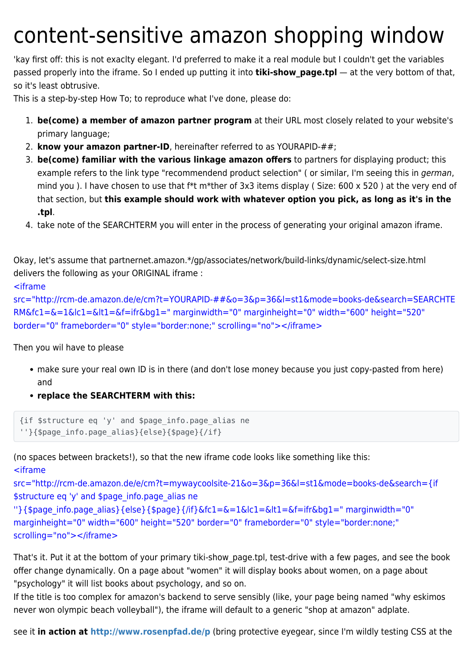## content-sensitive amazon shopping window

'kay first off: this is not exaclty elegant. I'd preferred to make it a real module but I couldn't get the variables passed properly into the iframe. So I ended up putting it into **tiki-show page.tpl** — at the very bottom of that, so it's least obtrusive.

This is a step-by-step How To; to reproduce what I've done, please do:

- 1. **be(come) a member of amazon partner program** at their URL most closely related to your website's primary language;
- 2. **know your amazon partner-ID**, hereinafter referred to as YOURAPID-##;
- 3. **be(come) familiar with the various linkage amazon offers** to partners for displaying product; this example refers to the link type "recommendend product selection" ( or similar, I'm seeing this in german, mind you ). I have chosen to use that f\*t m\*ther of 3x3 items display ( Size: 600 x 520 ) at the very end of that section, but **this example should work with whatever option you pick, as long as it's in the .tpl**.
- 4. take note of the SEARCHTERM you will enter in the process of generating your original amazon iframe.

Okay, let's assume that partnernet.amazon.\*/gp/associates/network/build-links/dynamic/select-size.html delivers the following as your ORIGINAL iframe :

## <iframe

```
src="http://rcm-de.amazon.de/e/cm?t=YOURAPID-##&o=3&p=36&l=st1&mode=books-de&search=SEARCHTE
RM&fc1=&=1&lc1=&lt1=&f=ifr&bg1=" marginwidth="0" marginheight="0" width="600" height="520"
border="0" frameborder="0" style="border:none;" scrolling="no"></iframe>
```
## Then you wil have to please

- make sure your real own ID is in there (and don't lose money because you just copy-pasted from here) and
- **replace the SEARCHTERM with this:**

```
{if $structure eq 'y' and $page_info.page_alias ne
''}{$page_info.page_alias}{else}{$page}{/if}
```
(no spaces between brackets!), so that the new iframe code looks like something like this: <iframe

src="http://rcm-de.amazon.de/e/cm?t=mywaycoolsite-21&o=3&p=36&l=st1&mode=books-de&search={if \$structure eq 'y' and \$page\_info.page\_alias ne

```
''}{$page_info.page_alias}{else}{$page}{/if}&fc1=&=1&lc1=&lt1=&f=ifr&bg1=" marginwidth="0"
marginheight="0" width="600" height="520" border="0" frameborder="0" style="border:none;"
scrolling="no"></iframe>
```
That's it. Put it at the bottom of your primary tiki-show\_page.tpl, test-drive with a few pages, and see the book offer change dynamically. On a page about "women" it will display books about women, on a page about "psychology" it will list books about psychology, and so on.

If the title is too complex for amazon's backend to serve sensibly (like, your page being named "why eskimos never won olympic beach volleyball"), the iframe will default to a generic "shop at amazon" adplate.

see it **in action at<http://www.rosenpfad.de/p>** (bring protective eyegear, since I'm wildly testing CSS at the